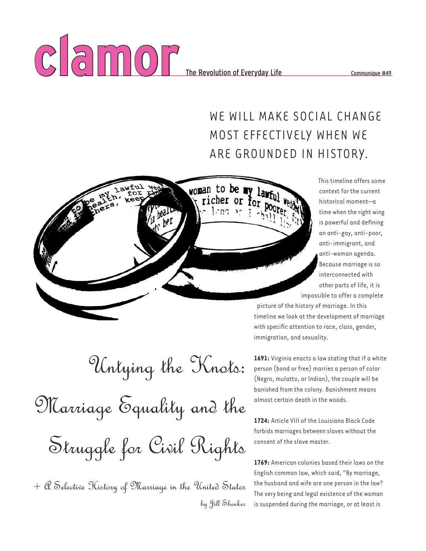

woman to be my lawful richer or for

 $1$ mg

## WE WILL MAKE SOCIAL CHANGE MOST EFFECTIVELY WHEN WE ARE GROUNDED IN HISTORY.

This timeline offers some context for the current historical moment—a time when the right wing is powerful and defining an anti-gay, anti-poor, anti-immigrant, and anti-woman agenda. Because marriage is so interconnected with other parts of life, it is impossible to offer a complete

picture of the history of marriage. In this timeline we look at the development of marriage with specific attention to race, class, gender, immigration, and sexuality.

**1691:** Virginia enacts a law stating that if a white person (bond or free) marries a person of color (Negro, mulatto, or Indian), the couple will be banished from the colony. Banishment means almost certain death in the woods.

**1724:** Article VIII of the Louisiana Black Code forbids marriages between slaves without the consent of the slave master.

**1769:** American colonies based their laws on the English common law, which said, "By marriage, the husband and wife are one person in the law? The very being and legal existence of the woman is suspended during the marriage, or at least is

Untying the Knots:

Marriage Equality and the Struggle for Civil Rights

 $+$   $\mathcal C$  Selective History of Marriage in the United States by Jill Shenker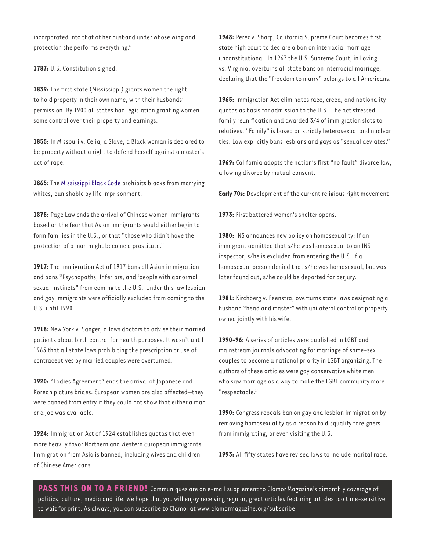incorporated into that of her husband under whose wing and protection she performs everything."

1787: U.S. Constitution signed.

**1839:** The first state (Mississippi) grants women the right to hold property in their own name, with their husbands' permission. By 1900 all states had legislation granting women some control over their property and earnings.

**1855:** In Missouri v. Celia, a Slave, a Black woman is declared to be property without a right to defend herself against a master's act of rape.

**1865:** The Mississippi Black Code prohibits blacks from marrying whites, punishable by life imprisonment.

**1875:** Page Law ends the arrival of Chinese women immigrants based on the fear that Asian immigrants would either begin to form families in the U.S., or that "those who didn't have the protection of a man might become a prostitute."

**1917:** The Immigration Act of 1917 bans all Asian immigration and bans "Psychopaths, Inferiors, and 'people with abnormal sexual instincts" from coming to the U.S. Under this law lesbian and gay immigrants were officially excluded from coming to the U.S. until 1990.

**1918:** New York v. Sanger, allows doctors to advise their married patients about birth control for health purposes. It wasn't until 1965 that all state laws prohibiting the prescription or use of contraceptives by married couples were overturned.

**1920:** "Ladies Agreement" ends the arrival of Japanese and Korean picture brides. European women are also affected—they were banned from entry if they could not show that either a man or a job was available.

**1924:** Immigration Act of 1924 establishes quotas that even more heavily favor Northern and Western European immigrants. Immigration from Asia is banned, including wives and children of Chinese Americans.

**1948:** Perez v. Sharp, California Supreme Court becomes first state high court to declare a ban on interracial marriage unconstitutional. In 1967 the U.S. Supreme Court, in Loving vs. Virginia, overturns all state bans on interracial marriage, declaring that the "freedom to marry" belongs to all Americans.

**1965:** Immigration Act eliminates race, creed, and nationality quotas as basis for admission to the U.S.. The act stressed family reunification and awarded 3⁄4 of immigration slots to relatives. "Family" is based on strictly heterosexual and nuclear ties. Law explicitly bans lesbians and gays as "sexual deviates."

**1969:** California adopts the nation's first "no fault" divorce law, allowing divorce by mutual consent.

**Early 70s:** Development of the current religious right movement

**1973:** First battered women's shelter opens.

**1980:** INS announces new policy on homosexuality: If an immigrant admitted that s/he was homosexual to an INS inspector, s/he is excluded from entering the U.S. If a homosexual person denied that s/he was homosexual, but was later found out, s/he could be deported for perjury.

**1981:** Kirchberg v. Feenstra, overturns state laws designating a husband "head and master" with unilateral control of property owned jointly with his wife.

**1990-96:** A series of articles were published in LGBT and mainstream journals advocating for marriage of same-sex couples to become a national priority in LGBT organizing. The authors of these articles were gay conservative white men who saw marriage as a way to make the LGBT community more "respectable."

**1990:** Congress repeals ban on gay and lesbian immigration by removing homosexuality as a reason to disqualify foreigners from immigrating, or even visiting the U.S.

**1993:** All fifty states have revised laws to include marital rape.

PASS THIS ON TO A FRIEND! Communiques are an e-mail supplement to Clamor Magazine's bimonthly coverage of politics, culture, media and life. We hope that you will enjoy receiving regular, great articles featuring articles too time-sensitive to wait for print. As always, you can subscribe to Clamor at www.clamormagazine.org/subscribe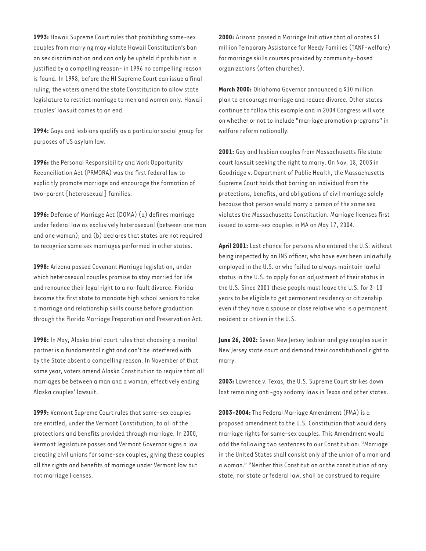**1993:** Hawaii Supreme Court rules that prohibiting same-sex couples from marrying may violate Hawaii Constitution's ban on sex discrimination and can only be upheld if prohibition is justified by a compelling reason- in 1996 no compelling reason is found. In 1998, before the HI Supreme Court can issue a final ruling, the voters amend the state Constitution to allow state legislature to restrict marriage to men and women only. Hawaii couples' lawsuit comes to an end.

**1994:** Gays and lesbians qualify as a particular social group for purposes of US asylum law.

**1996:** the Personal Responsibility and Work Opportunity Reconciliation Act (PRWORA) was the first federal law to explicitly promote marriage and encourage the formation of two-parent [heterosexual] families.

**1996:** Defense of Marriage Act (DOMA) (a) defines marriage under federal law as exclusively heterosexual (between one man and one woman); and (b) declares that states are not required to recognize same sex marriages performed in other states.

**1998:** Arizona passed Covenant Marriage legislation, under which heterosexual couples promise to stay married for life and renounce their legal right to a no-fault divorce. Florida became the first state to mandate high school seniors to take a marriage and relationship skills course before graduation through the Florida Marriage Preparation and Preservation Act.

**1998:** In May, Alaska trial court rules that choosing a marital partner is a fundamental right and can't be interfered with by the State absent a compelling reason. In November of that same year, voters amend Alaska Constitution to require that all marriages be between a man and a woman, effectively ending Alaska couples' lawsuit.

**1999:** Vermont Supreme Court rules that same-sex couples are entitled, under the Vermont Constitution, to all of the protections and benefits provided through marriage. In 2000, Vermont legislature passes and Vermont Governor signs a law creating civil unions for same-sex couples, giving these couples all the rights and benefits of marriage under Vermont law but not marriage licenses.

**2000:** Arizona passed a Marriage Initiative that allocates \$1 million Temporary Assistance for Needy Families (TANF-welfare) for marriage skills courses provided by community-based organizations (often churches).

**March 2000:** Oklahoma Governor announced a \$10 million plan to encourage marriage and reduce divorce. Other states continue to follow this example and in 2004 Congress will vote on whether or not to include "marriage promotion programs" in welfare reform nationally.

**2001:** Gay and lesbian couples from Massachusetts file state court lawsuit seeking the right to marry. On Nov. 18, 2003 in Goodridge v. Department of Public Health, the Massachusetts Supreme Court holds that barring an individual from the protections, benefits, and obligations of civil marriage solely because that person would marry a person of the same sex violates the Massachusetts Constitution. Marriage licenses first issued to same-sex couples in MA on May 17, 2004.

**April 2001:** Last chance for persons who entered the U.S. without being inspected by an INS officer, who have ever been unlawfully employed in the U.S. or who failed to always maintain lawful status in the U.S. to apply for an adjustment of their status in the U.S. Since 2001 these people must leave the U.S. for 3-10 years to be eligible to get permanent residency or citizenship even if they have a spouse or close relative who is a permanent resident or citizen in the U.S.

**June 26, 2002:** Seven New Jersey lesbian and gay couples sue in New Jersey state court and demand their constitutional right to marry.

**2003:** Lawrence v. Texas, the U.S. Supreme Court strikes down last remaining anti-gay sodomy laws in Texas and other states.

**2003-2004:** The Federal Marriage Amendment (FMA) is a proposed amendment to the U.S. Constitution that would deny marriage rights for same-sex couples. This Amendment would add the following two sentences to our Constitution: "Marriage in the United States shall consist only of the union of a man and a woman." "Neither this Constitution or the constitution of any state, nor state or federal law, shall be construed to require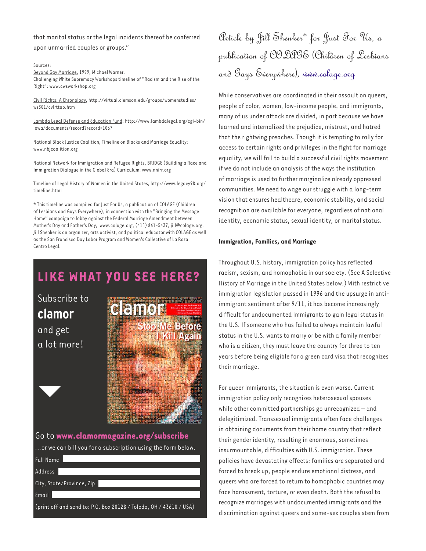### that marital status or the legal incidents thereof be conferred upon unmarried couples or groups."

Sources:

Beyond Gay Marriage, 1999, Michael Warner. Challenging White Supremacy Workshops timeline of "Racism and the Rise of the Right": www.cwsworkshop.org

Civil Rights: A Chronology, http://virtual.clemson.edu/groups/womenstudies/ ws301/cvlrttab.htm

Lambda Legal Defense and Education Fund: http://www.lambdalegal.org/cgi-bin/ iowa/documents/record?record=1067

National Black Justice Coalition, Timeline on Blacks and Marriage Equality: www.nbjcoalition.org

National Network for Immigration and Refugee Rights, BRIDGE (Building a Race and Immigration Dialogue in the Global Era) Curriculum: www.nnirr.org

Timeline of Legal History of Women in the United States, http://www.legacy98.org/ timeline.html

\* This timeline was compiled for Just For Us, a publication of COLAGE (Children of Lesbians and Gays Everywhere), in connection with the "Bringing the Message Home" campaign to lobby against the Federal Marriage Amendment between Mother's Day and Father's Day, www.colage.org, (415) 861-5437, jill@colage.org. Jill Shenker is an organizer, arts activist, and political educator with COLAGE as well as the San Francisco Day Labor Program and Women's Collective of La Raza Centro Legal.

# **LIKE WHAT YOU SEE HERE?**

Subscribe to **clamor**  and get a lot more!



Go to **www.clamormagazine.org/subscribe** ...or we can bill you for a subscription using the form below. Full Name Address City, State/Province, Zip Email (print off and send to: P.O. Box 20128 / Toledo, OH / 43610 / USA)

Article by Jill Shenker\* for Just For Us, a publication of COLAGE (Children of Lesbians and Gays Everywhere), www.colage.org

While conservatives are coordinated in their assault on queers, people of color, women, low-income people, and immigrants, many of us under attack are divided, in part because we have learned and internalized the prejudice, mistrust, and hatred that the rightwing preaches. Though it is tempting to rally for access to certain rights and privileges in the fight for marriage equality, we will fail to build a successful civil rights movement if we do not include an analysis of the ways the institution of marriage is used to further marginalize already oppressed communities. We need to wage our struggle with a long-term vision that ensures healthcare, economic stability, and social recognition are available for everyone, regardless of national identity, economic status, sexual identity, or marital status.

#### **Immigration, Families, and Marriage**

Throughout U.S. history, immigration policy has reflected racism, sexism, and homophobia in our society. (See A Selective History of Marriage in the United States below.) With restrictive immigration legislation passed in 1996 and the upsurge in antiimmigrant sentiment after 9/11, it has become increasingly difficult for undocumented immigrants to gain legal status in the U.S. If someone who has failed to always maintain lawful status in the U.S. wants to marry or be with a family member who is a citizen, they must leave the country for three to ten years before being eligible for a green card visa that recognizes their marriage.

For queer immigrants, the situation is even worse. Current immigration policy only recognizes heterosexual spouses while other committed partnerships go unrecognized – and delegitimized. Transsexual immigrants often face challenges in obtaining documents from their home country that reflect their gender identity, resulting in enormous, sometimes insurmountable, difficulties with U.S. immigration. These policies have devastating effects: families are separated and forced to break up, people endure emotional distress, and queers who are forced to return to homophobic countries may face harassment, torture, or even death. Both the refusal to recognize marriages with undocumented immigrants and the discrimination against queers and same-sex couples stem from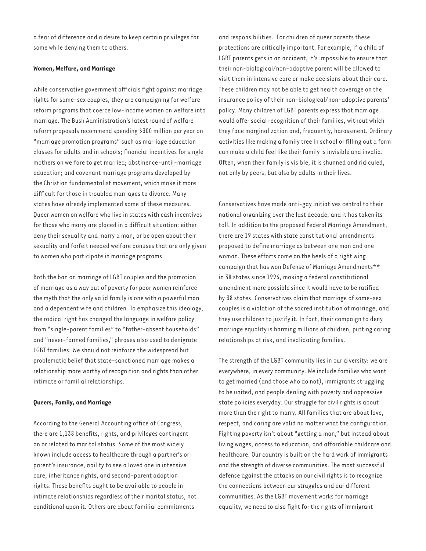a fear of difference and a desire to keep certain privileges for some while denying them to others.

#### **Women, Welfare, and Marriage**

While conservative government officials fight against marriage rights for same-sex couples, they are campaigning for welfare reform programs that coerce low-income women on welfare into marriage. The Bush Administration's latest round of welfare reform proposals recommend spending \$300 million per year on "marriage promotion programs" such as marriage education classes for adults and in schools; financial incentives for single mothers on welfare to get married; abstinence-until-marriage education; and covenant marriage programs developed by the Christian fundamentalist movement, which make it more difficult for those in troubled marriages to divorce. Many states have already implemented some of these measures. Queer women on welfare who live in states with cash incentives for those who marry are placed in a difficult situation: either deny their sexuality and marry a man, or be open about their sexuality and forfeit needed welfare bonuses that are only given to women who participate in marriage programs.

Both the ban on marriage of LGBT couples and the promotion of marriage as a way out of poverty for poor women reinforce the myth that the only valid family is one with a powerful man and a dependent wife and children. To emphasize this ideology, the radical right has changed the language in welfare policy from "single-parent families" to "father-absent households" and "never-formed families," phrases also used to denigrate LGBT families. We should not reinforce the widespread but problematic belief that state-sanctioned marriage makes a relationship more worthy of recognition and rights than other intimate or familial relationships.

#### **Queers, Family, and Marriage**

According to the General Accounting office of Congress, there are 1,138 benefits, rights, and privileges contingent on or related to marital status. Some of the most widely known include access to healthcare through a partner's or parent's insurance, ability to see a loved one in intensive care, inheritance rights, and second-parent adoption rights. These benefits ought to be available to people in intimate relationships regardless of their marital status, not conditional upon it. Others are about familial commitments

and responsibilities. For children of queer parents these protections are critically important. For example, if a child of LGBT parents gets in an accident, it's impossible to ensure that their non-biological/non-adoptive parent will be allowed to visit them in intensive care or make decisions about their care. These children may not be able to get health coverage on the insurance policy of their non-biological/non-adoptive parents' policy. Many children of LGBT parents express that marriage would offer social recognition of their families, without which they face marginalization and, frequently, harassment. Ordinary activities like making a family tree in school or filling out a form can make a child feel like their family is invisible and invalid. Often, when their family is visible, it is shunned and ridiculed, not only by peers, but also by adults in their lives.

Conservatives have made anti-gay initiatives central to their national organizing over the last decade, and it has taken its toll. In addition to the proposed Federal Marriage Amendment, there are 19 states with state constitutional amendments proposed to define marriage as between one man and one woman. These efforts come on the heels of a right wing campaign that has won Defense of Marriage Amendments\*\* in 38 states since 1996, making a federal constitutional amendment more possible since it would have to be ratified by 38 states. Conservatives claim that marriage of same-sex couples is a violation of the sacred institution of marriage, and they use children to justify it. In fact, their campaign to deny marriage equality is harming millions of children, putting caring relationships at risk, and invalidating families.

The strength of the LGBT community lies in our diversity: we are everywhere, in every community. We include families who want to get married (and those who do not), immigrants struggling to be united, and people dealing with poverty and oppressive state policies everyday. Our struggle for civil rights is about more than the right to marry. All families that are about love, respect, and caring are valid no matter what the configuration. Fighting poverty isn't about "getting a man," but instead about living wages, access to education, and affordable childcare and healthcare. Our country is built on the hard work of immigrants and the strength of diverse communities. The most successful defense against the attacks on our civil rights is to recognize the connections between our struggles and our different communities. As the LGBT movement works for marriage equality, we need to also fight for the rights of immigrant